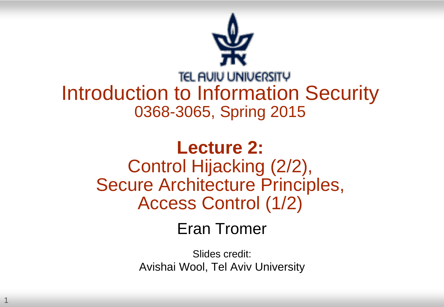

#### **TEL AUIU UNIVERSITY** Introduction to Information Security 0368-3065, Spring 2015

#### **Lecture 2:** Control Hijacking (2/2), Secure Architecture Principles, Access Control (1/2)

Eran Tromer

Slides credit: Avishai Wool, Tel Aviv University

1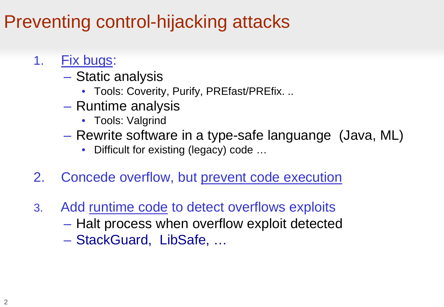#### Preventing control-hijacking attacks

- 1. Fix bugs:
	- Static analysis
		- Tools: Coverity, Purify, PREfast/PREfix. ..
	- Runtime analysis
		- Tools: Valgrind
	- Rewrite software in a type-safe languange (Java, ML)
		- Difficult for existing (legacy) code …
- 2. Concede overflow, but prevent code execution
- 3. Add runtime code to detect overflows exploits
	- Halt process when overflow exploit detected
	- StackGuard, LibSafe, …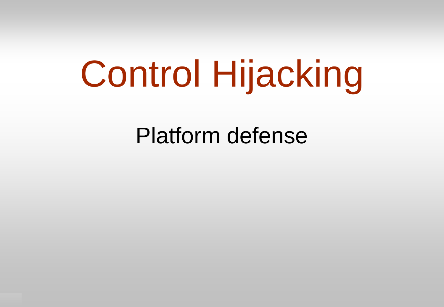# Control Hijacking

Platform defense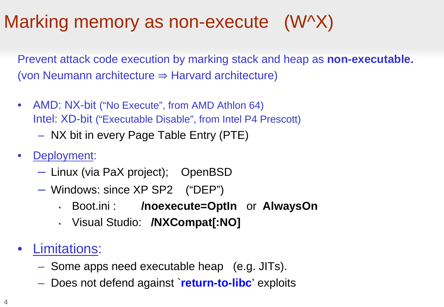#### Marking memory as non-execute (W^X)

Prevent attack code execution by marking stack and heap as **non-executable.** (von Neumann architecture  $\Rightarrow$  Harvard architecture)

- AMD: NX-bit ("No Execute", from AMD Athlon 64) Intel: XD-bit ("Executable Disable", from Intel P4 Prescott)
	- NX bit in every Page Table Entry (PTE)
- Deployment:
	- Linux (via PaX project); OpenBSD
	- Windows: since XP SP2 ("DEP")
		- Boot.ini : **/noexecute=OptIn** or **AlwaysOn**
		- Visual Studio: **/NXCompat[:NO]**
- Limitations:
	- Some apps need executable heap (e.g. JITs).
	- Does not defend against `**return-to-libc**' exploits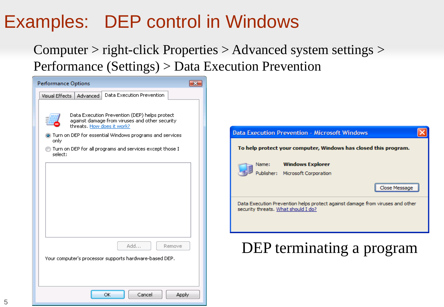#### Examples: DEP control in Windows

Computer > right-click Properties > Advanced system settings > Performance (Settings) > Data Execution Prevention

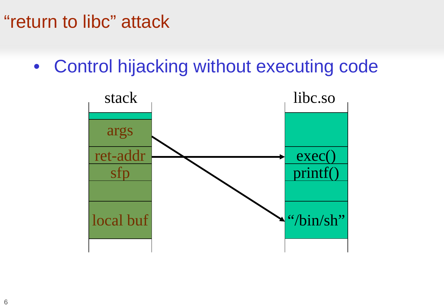#### "return to libc" attack

• Control hijacking without executing code

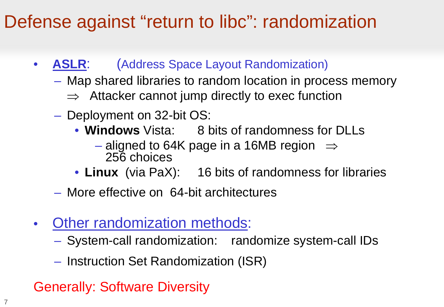#### Defense against "return to libc": randomization

- **ASLR**: (Address Space Layout Randomization)
	- Map shared libraries to random location in process memory
		- $\Rightarrow$  Attacker cannot jump directly to exec function
	- Deployment on 32-bit OS:
		- **Windows** Vista: 8 bits of randomness for DLLs
			- aligned to 64K page in a 16MB region  $\Rightarrow$ 256 choices
		- **Linux** (via PaX): 16 bits of randomness for libraries
	- More effective on 64-bit architectures
- Other randomization methods:
	- System-call randomization: randomize system-call IDs
	- Instruction Set Randomization (ISR)

#### Generally: Software Diversity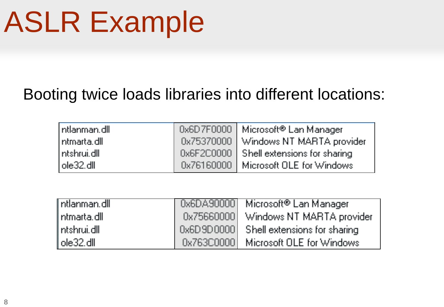# ASLR Example

#### Booting twice loads libraries into different locations:

| $\ $ ntlanman.dll $\ $ | Ox6D7F0000   Microsoft® Lan Manager     |
|------------------------|-----------------------------------------|
| ntmarta.dll            | 0x75370000 Windows NT MARTA provider    |
| ntshrui.dll            | 0x6F2C0000 Shell extensions for sharing |
| ∐ole32.dll.            | Dx76160000   Microsoft OLE for Windows  |

| l ntlanman.dll . | Dx6DA90000 Microsoft® Lan Manager       |
|------------------|-----------------------------------------|
| l ntmarta.dll i  | 0x75660000 Windows NT MARTA provider    |
| l ntshrui.dll i  | 0x6D9D0000 Shell extensions for sharing |
| l ole32.dll.     | 0x763C0000 Microsoft OLE for Windows    |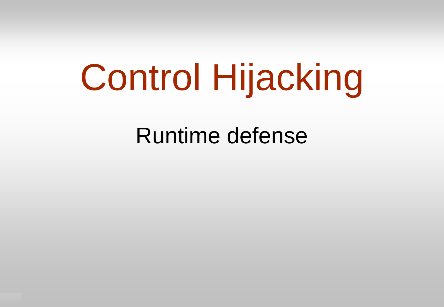# Control Hijacking

Runtime defense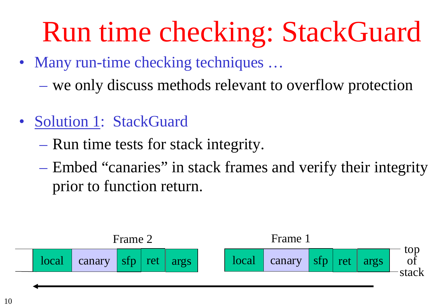# Run time checking: StackGuard

- Many run-time checking techniques ...
	- we only discuss methods relevant to overflow protection
- Solution 1: StackGuard
	- Run time tests for stack integrity.
	- Embed "canaries" in stack frames and verify their integrity prior to function return.

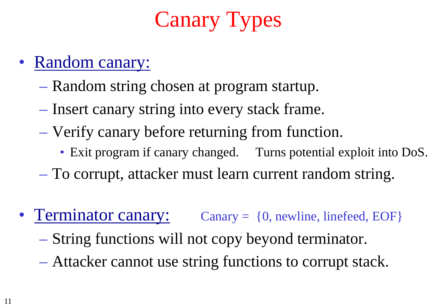## Canary Types

- Random canary:
	- Random string chosen at program startup.
	- Insert canary string into every stack frame.
	- Verify canary before returning from function.
		- Exit program if canary changed. Turns potential exploit into DoS.
	- To corrupt, attacker must learn current random string.
- Terminator canary: Canary = {0, newline, linefeed, EOF}
	- String functions will not copy beyond terminator.
	- Attacker cannot use string functions to corrupt stack.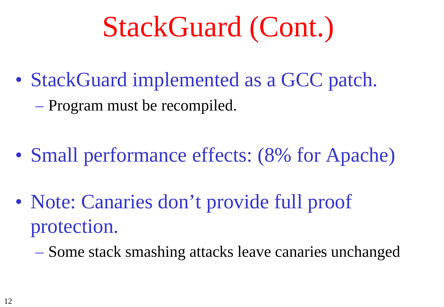# StackGuard (Cont.)

• StackGuard implemented as a GCC patch. – Program must be recompiled.

- Small performance effects: (8% for Apache)
- Note: Canaries don't provide full proof protection.
	- Some stack smashing attacks leave canaries unchanged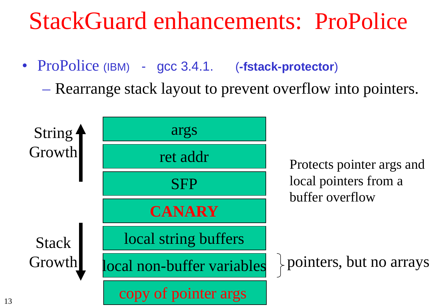### StackGuard enhancements: ProPolice

• ProPolice (IBM) - gcc 3.4.1. (**-fstack-protector**)

– Rearrange stack layout to prevent overflow into pointers.

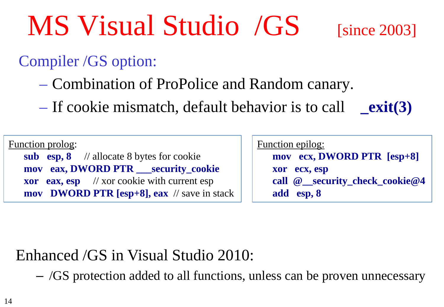MS Visual Studio /GS [since 2003]

#### Compiler /GS option:

- Combination of ProPolice and Random canary.
- If cookie mismatch, default behavior is to call **\_exit(3)**

Function prolog: **sub esp, 8** // allocate 8 bytes for cookie **mov eax, DWORD PTR \_\_\_security\_cookie xor eax, esp** // xor cookie with current esp **mov DWORD PTR [esp+8], eax** // save in stack

| Function epilog: |                                |
|------------------|--------------------------------|
|                  | mov ecx, DWORD PTR [esp+8]     |
|                  | xor ecx, esp                   |
|                  | call @ security check cookie@4 |
|                  | add esp, 8                     |

#### Enhanced /GS in Visual Studio 2010:

– /GS protection added to all functions, unless can be proven unnecessary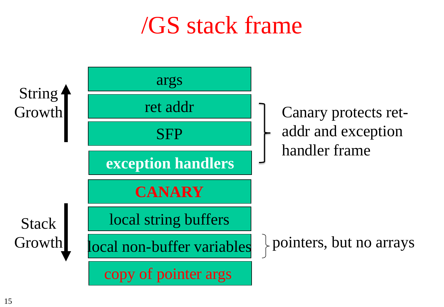## /GS stack frame

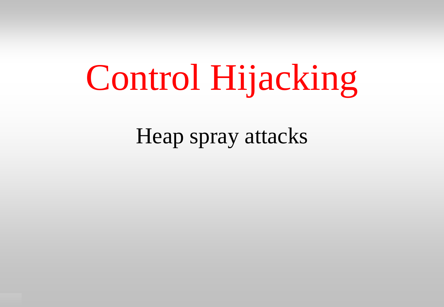# Control Hijacking

Heap spray attacks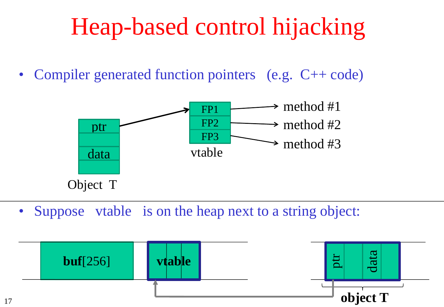# Heap-based control hijacking

• Compiler generated function pointers (e.g. C++ code)



• Suppose vtable is on the heap next to a string object:

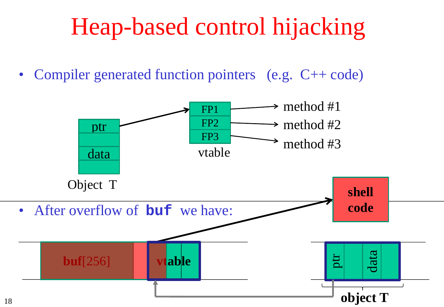# Heap-based control hijacking

• Compiler generated function pointers (e.g. C++ code)

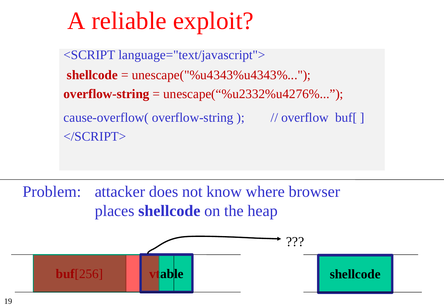# A reliable exploit?

<SCRIPT language="text/javascript"> **shellcode** = unescape("%u4343%u4343%..."); **overflow-string** = unescape("%u2332%u4276%..."); cause-overflow( overflow-string ); // overflow buf[ ]  $<$ /SCRIPT>

Problem: attacker does not know where browser places **shellcode** on the heap

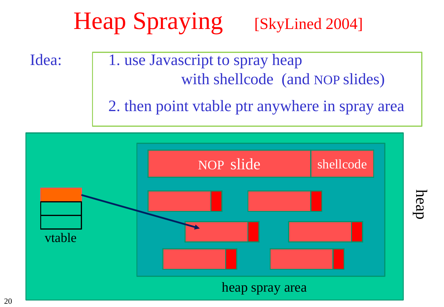# Heap Spraying [SkyLined 2004]

- Idea: | 1. use Javascript to spray heap with shellcode (and NOP slides)
	- 2. then point vtable ptr anywhere in spray area



heap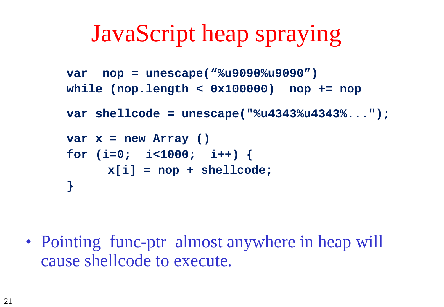## JavaScript heap spraying

```
var nop = unescape("%u9090%u9090")
while (nop.length < 0x100000) nop += nop
var shellcode = unescape("%u4343%u4343%...");
var x = new Array ()
for (i=0; i<1000; i++) {
     x[i] = nop + shellcode;
}
```
• Pointing func-ptr almost anywhere in heap will cause shellcode to execute.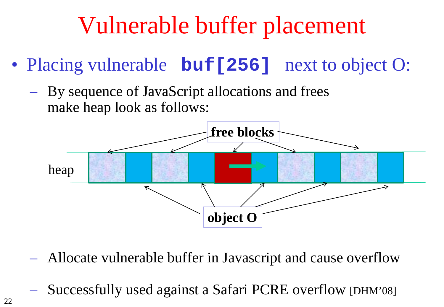# Vulnerable buffer placement

- Placing vulnerable **buf** [256] next to object O:
	- By sequence of JavaScript allocations and frees make heap look as follows:



- Allocate vulnerable buffer in Javascript and cause overflow
	- Successfully used against a Safari PCRE overflow [DHM'08]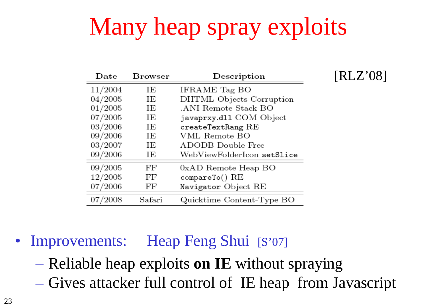# Many heap spray exploits

| $_{\rm Date}$ | Browser | Description                            | [RLZ'08] |
|---------------|---------|----------------------------------------|----------|
| 11/2004       | ΙE      | IFRAME Tag BO                          |          |
| 04/2005       | ΙE      | DHTML Objects Corruption               |          |
| 01/2005       | ΙE      | .ANI Remote Stack BO                   |          |
| 07/2005       | ΙE      | javaprxy.dl1 COM Object                |          |
| 03/2006       | ΙE      | $\mathtt{createTextRang}\ \mathrm{RE}$ |          |
| 09/2006       | ΙE      | VML Remote BO                          |          |
| 03/2007       | ΙE      | ADODB Double Free                      |          |
| 09/2006       | ΙE      | WebViewFolderIcon setSlice             |          |
| 09/2005       | FF      | 0xAD Remote Heap BO                    |          |
| 12/2005       | FF      | compareTo() RE                         |          |
| 07/2006       | FF      | Navigator Object RE                    |          |
| 07/2008       | Safari  | Quicktime Content-Type BO              |          |
|               |         |                                        |          |

#### • Improvements: Heap Feng Shui [S'07]

- Reliable heap exploits **on IE** without spraying
- Gives attacker full control of IE heap from Javascript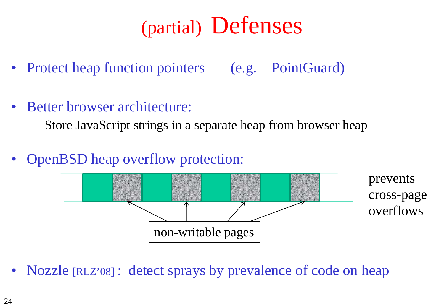### (partial) Defenses

- Protect heap function pointers (e.g. PointGuard)
- Better browser architecture:
	- Store JavaScript strings in a separate heap from browser heap
- OpenBSD heap overflow protection:



• Nozzle [RLZ'08] : detect sprays by prevalence of code on heap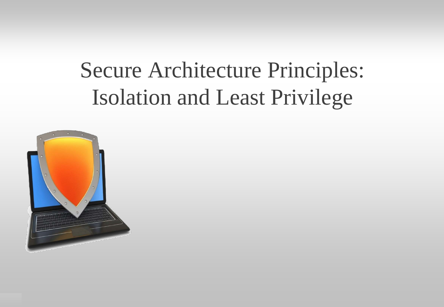### Secure Architecture Principles: Isolation and Least Privilege

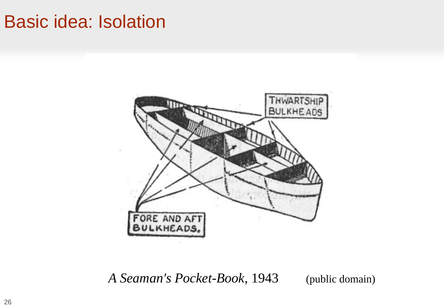#### Basic idea: Isolation



*A Seaman's Pocket-Book*, 1943 (public domain)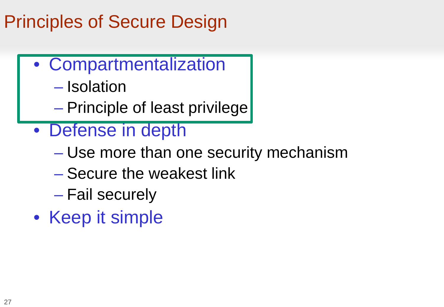#### Principles of Secure Design

- Compartmentalization
	- Isolation
	- Principle of least privilege
- Defense in depth
	- Use more than one security mechanism
	- Secure the weakest link
	- Fail securely
- Keep it simple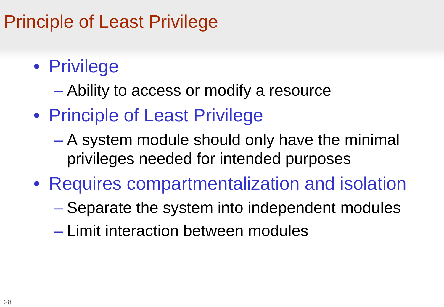#### Principle of Least Privilege

- Privilege
	- Ability to access or modify a resource
- Principle of Least Privilege
	- A system module should only have the minimal privileges needed for intended purposes
- Requires compartmentalization and isolation
	- Separate the system into independent modules
	- Limit interaction between modules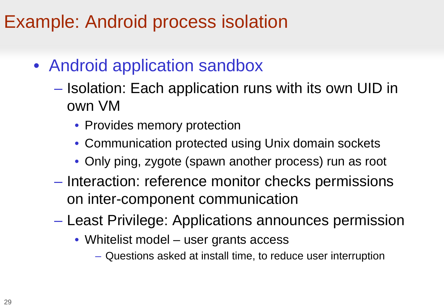#### Example: Android process isolation

- Android application sandbox
	- Isolation: Each application runs with its own UID in own VM
		- Provides memory protection
		- Communication protected using Unix domain sockets
		- Only ping, zygote (spawn another process) run as root
	- Interaction: reference monitor checks permissions on inter-component communication
	- Least Privilege: Applications announces permission
		- Whitelist model user grants access
			- Questions asked at install time, to reduce user interruption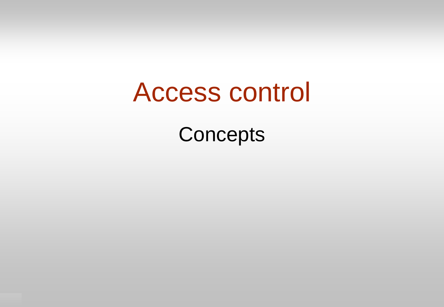# Access control

**Concepts**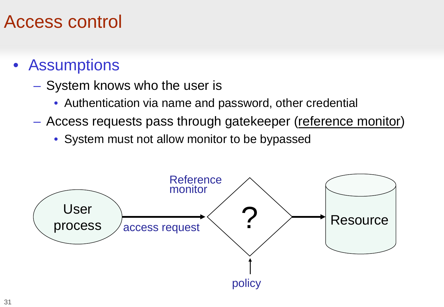#### Access control

- Assumptions
	- System knows who the user is
		- Authentication via name and password, other credential
	- Access requests pass through gatekeeper (reference monitor)
		- System must not allow monitor to be bypassed

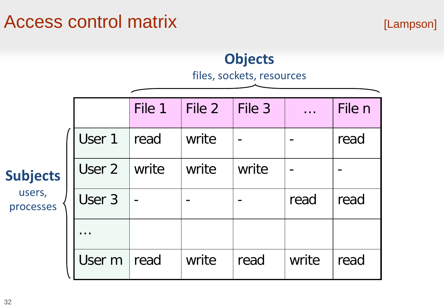#### Access control matrix [Lampson]

#### File 1  $|$  File 2  $|$  File 3  $|$  ...  $|$  File n User 1 read write - 1- read User 2 write write write -User  $3$   $\vert \cdot \vert$   $\vert \cdot \vert$   $\vert \cdot \vert$   $\vert$  read  $\vert$  read … User m read write read write read **Subjects** users, processes **Objects** files, sockets, resources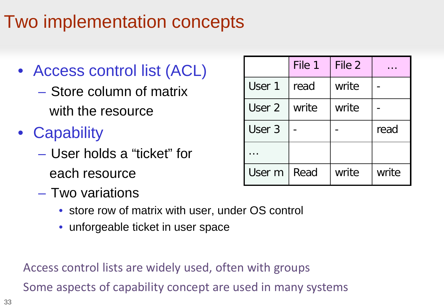#### Two implementation concepts

#### • Access control list (ACL)

– Store column of matrix with the resource

- Capability
	- User holds a "ticket" for each resource
	- Two variations
		- store row of matrix with user, under OS control
		- unforgeable ticket in user space

Access control lists are widely used, often with groups

Some aspects of capability concept are used in many systems

|        | File 1 | File 2 |       |
|--------|--------|--------|-------|
| User 1 | read   | write  |       |
| User 2 | write  | write  |       |
| User 3 |        |        | read  |
|        |        |        |       |
| User m | Read   | write  | write |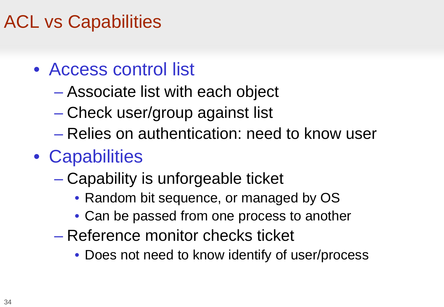#### ACL vs Capabilities

- Access control list
	- Associate list with each object
	- Check user/group against list
	- Relies on authentication: need to know user
- Capabilities
	- Capability is unforgeable ticket
		- Random bit sequence, or managed by OS
		- Can be passed from one process to another
	- Reference monitor checks ticket
		- Does not need to know identify of user/process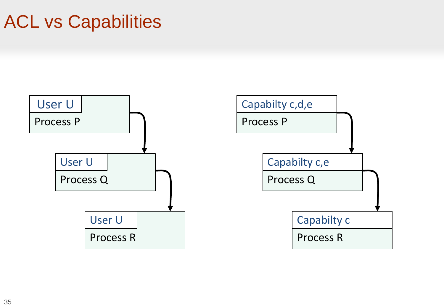#### ACL vs Capabilities

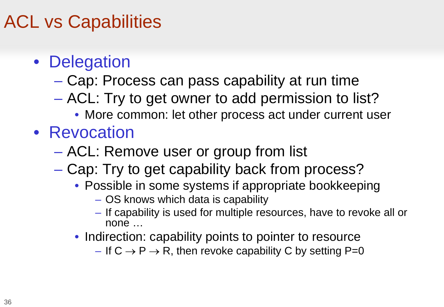#### ACL vs Capabilities

- Delegation
	- Cap: Process can pass capability at run time
	- ACL: Try to get owner to add permission to list?
		- More common: let other process act under current user
- Revocation
	- ACL: Remove user or group from list
	- Cap: Try to get capability back from process?
		- Possible in some systems if appropriate bookkeeping
			- OS knows which data is capability
			- If capability is used for multiple resources, have to revoke all or none …
		- Indirection: capability points to pointer to resource
			- If  $C \rightarrow P \rightarrow R$ , then revoke capability C by setting P=0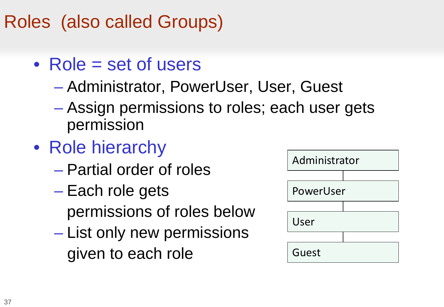#### Roles (also called Groups)

- Role = set of users
	- Administrator, PowerUser, User, Guest
	- Assign permissions to roles; each user gets permission
- Role hierarchy
	- Partial order of roles
	- Each role gets permissions of roles below
	- List only new permissions given to each role

| Administrator |  |  |
|---------------|--|--|
|               |  |  |
| PowerUser     |  |  |
|               |  |  |
| User          |  |  |
|               |  |  |
| Guest         |  |  |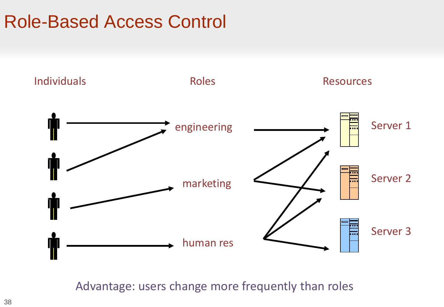#### Role-Based Access Control



Advantage: users change more frequently than roles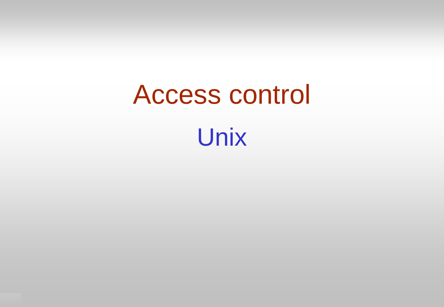# Access control Unix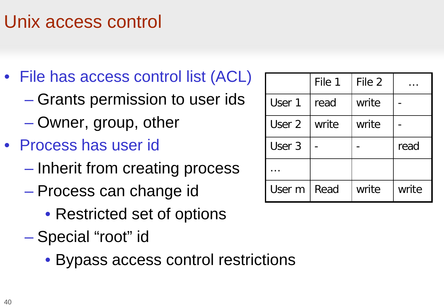#### Unix access control

- File has access control list (ACL)
	- Grants permission to user ids
	- Owner, group, other
- Process has user id
	- Inherit from creating process
	- Process can change id
		- Restricted set of options
	- Special "root" id
		- Bypass access control restrictions

|        | File 1 | File 2 |       |
|--------|--------|--------|-------|
| User 1 | read   | write  |       |
| User 2 | write  | write  |       |
| User 3 |        |        | read  |
|        |        |        |       |
| User m | Read   | write  | write |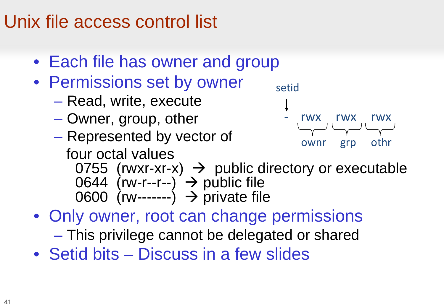#### Unix file access control list

- Each file has owner and group
- Permissions set by owner
	- Read, write, execute
	- Owner, group, other
	- Represented by vector of four octal values



- 0755 (rwxr-xr-x)  $\rightarrow$  public directory or executable 0644 (rw-r--r--)  $\rightarrow$  public file 0600 (rw-------)  $\rightarrow$  private file
- Only owner, root can change permissions – This privilege cannot be delegated or shared
- Setid bits Discuss in a few slides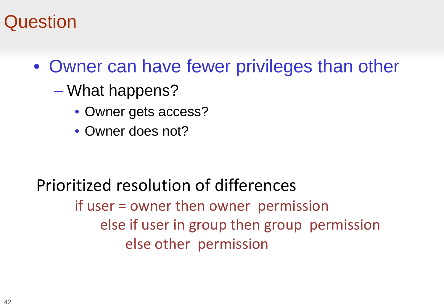#### **Question**

- Owner can have fewer privileges than other
	- What happens?
		- Owner gets access?
		- Owner does not?

#### Prioritized resolution of differences if user = owner then owner permission else if user in group then group permission else other permission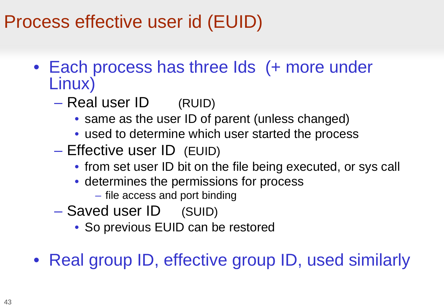#### Process effective user id (EUID)

- Each process has three Ids (+ more under Linux)
	- Real user ID (RUID)
		- same as the user ID of parent (unless changed)
		- used to determine which user started the process
	- Effective user ID (EUID)
		- from set user ID bit on the file being executed, or sys call
		- determines the permissions for process
			- file access and port binding
	- Saved user ID (SUID)
		- So previous EUID can be restored
- Real group ID, effective group ID, used similarly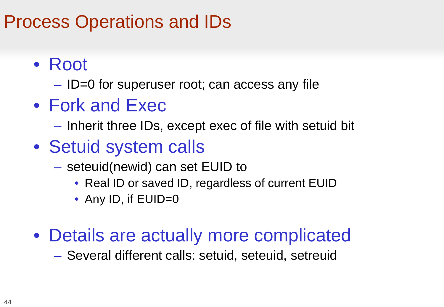#### Process Operations and IDs

- Root
	- ID=0 for superuser root; can access any file
- Fork and Exec
	- Inherit three IDs, except exec of file with setuid bit
- Setuid system calls
	- seteuid(newid) can set EUID to
		- Real ID or saved ID, regardless of current EUID
		- Any ID, if EUID=0
- Details are actually more complicated

– Several different calls: setuid, seteuid, setreuid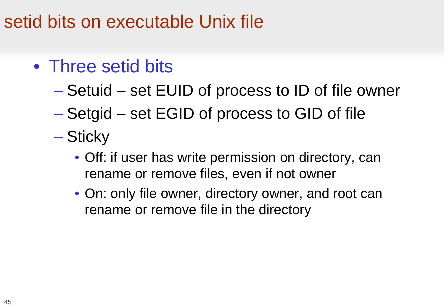#### setid bits on executable Unix file

- Three setid bits
	- Setuid set EUID of process to ID of file owner
	- Setgid set EGID of process to GID of file
	- Sticky
		- Off: if user has write permission on directory, can rename or remove files, even if not owner
		- On: only file owner, directory owner, and root can rename or remove file in the directory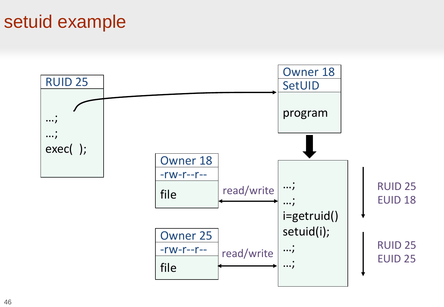#### setuid example